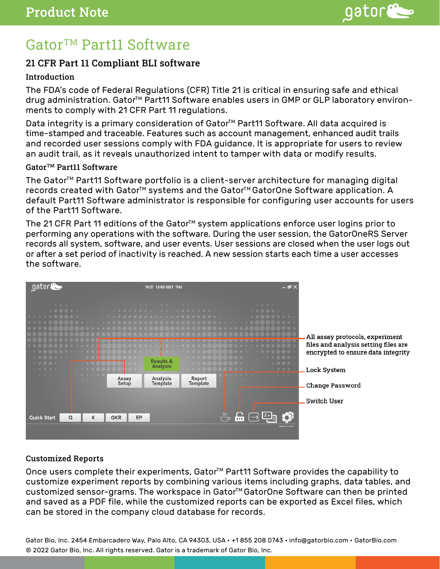

# Gator™ Part11 Software

# 21 CFR Part 11 Compliant BLI software

## **Introduction**

The FDA's code of Federal Regulations (CFR) Title 21 is critical in ensuring safe and ethical drug administration. Gator<sup>™</sup> Part11 Software enables users in GMP or GLP laboratory environments to comply with 21 CFR Part 11 regulations.

Data integrity is a primary consideration of Gator<sup>™</sup> Part11 Software. All data acquired is time-stamped and traceable. Features such as account management, enhanced audit trails and recorded user sessions comply with FDA guidance. It is appropriate for users to review an audit trail, as it reveals unauthorized intent to tamper with data or modify results.

#### Gator<sup>™</sup> Part11 Software

The Gator<sup>™</sup> Part11 Software portfolio is a client-server architecture for managing digital records created with Gator<sup>™</sup> systems and the Gator<sup>™</sup> GatorOne Software application. A default Part11 Software administrator is responsible for configuring user accounts for users of the Part11 Software.

The 21 CFR Part 11 editions of the Gator<sup>™</sup> system applications enforce user logins prior to performing any operations with the software. During the user session, the GatorOneRS Server records all system, software, and user events. User sessions are closed when the user logs out or after a set period of inactivity is reached. A new session starts each time a user accesses the software.



## Customized Reports

Once users complete their experiments, Gator<sup>™</sup> Part11 Software provides the capability to customize experiment reports by combining various items including graphs, data tables, and customized sensor-grams. The workspace in Gator<sup>™</sup> GatorOne Software can then be printed and saved as a PDF file, while the customized reports can be exported as Excel files, which can be stored in the company cloud database for records.

Gator Bio, Inc. 2454 Embarcadero Way, Palo Alto, CA 94303, USA • +1 855 208 0743 • info@gatorbio.com • GatorBio.com © 2022 Gator Bio, Inc. All rights reserved. Gator is a trademark of Gator Bio, Inc.